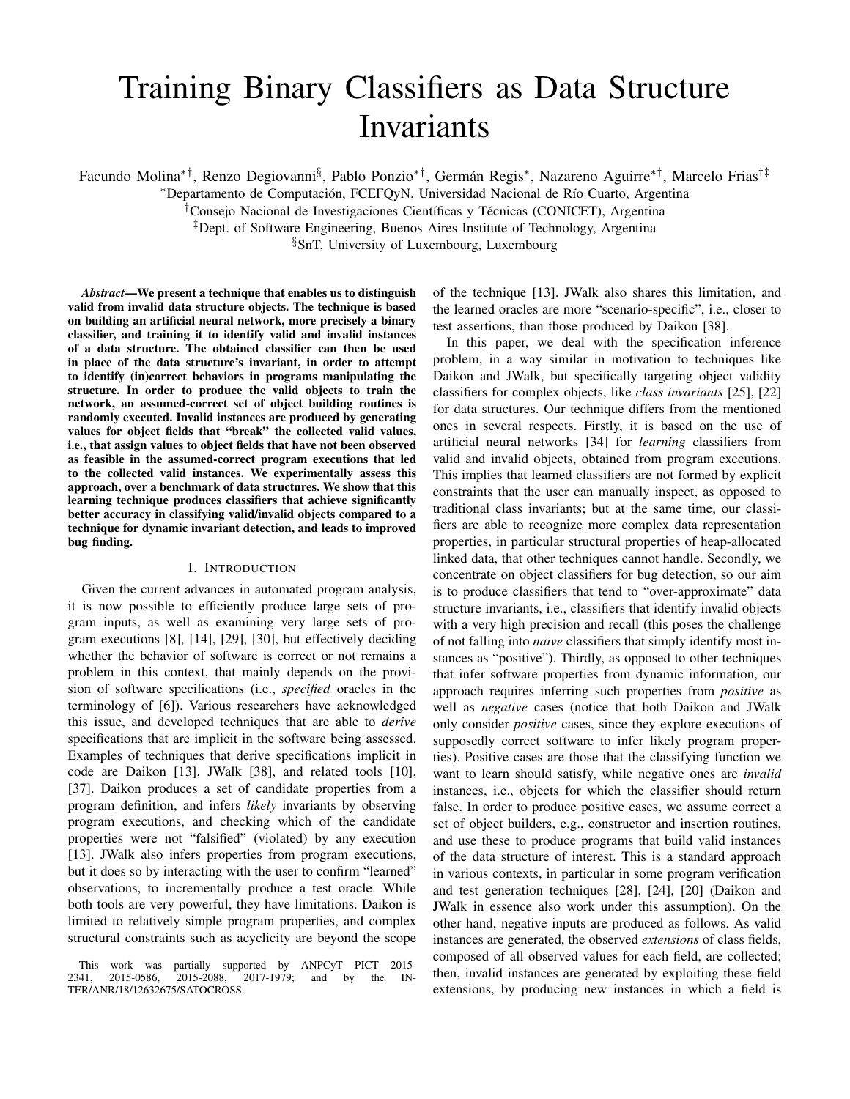# Training Binary Classifiers as Data Structure Invariants

Facundo Molina\*<sup>†</sup>, Renzo Degiovanni<sup>§</sup>, Pablo Ponzio\*<sup>†</sup>, Germán Regis\*, Nazareno Aguirre\*<sup>†</sup>, Marcelo Frias<sup>†‡</sup>

\*Departamento de Computación, FCEFQyN, Universidad Nacional de Río Cuarto, Argentina

<sup>†</sup>Consejo Nacional de Investigaciones Científicas y Técnicas (CONICET), Argentina

‡Dept. of Software Engineering, Buenos Aires Institute of Technology, Argentina

§SnT, University of Luxembourg, Luxembourg

*Abstract*—We present a technique that enables us to distinguish valid from invalid data structure objects. The technique is based on building an artificial neural network, more precisely a binary classifier, and training it to identify valid and invalid instances of a data structure. The obtained classifier can then be used in place of the data structure's invariant, in order to attempt to identify (in)correct behaviors in programs manipulating the structure. In order to produce the valid objects to train the network, an assumed-correct set of object building routines is randomly executed. Invalid instances are produced by generating values for object fields that "break" the collected valid values, i.e., that assign values to object fields that have not been observed as feasible in the assumed-correct program executions that led to the collected valid instances. We experimentally assess this approach, over a benchmark of data structures. We show that this learning technique produces classifiers that achieve significantly better accuracy in classifying valid/invalid objects compared to a technique for dynamic invariant detection, and leads to improved bug finding.

## I. INTRODUCTION

Given the current advances in automated program analysis, it is now possible to efficiently produce large sets of program inputs, as well as examining very large sets of program executions [8], [14], [29], [30], but effectively deciding whether the behavior of software is correct or not remains a problem in this context, that mainly depends on the provision of software specifications (i.e., *specified* oracles in the terminology of [6]). Various researchers have acknowledged this issue, and developed techniques that are able to *derive* specifications that are implicit in the software being assessed. Examples of techniques that derive specifications implicit in code are Daikon [13], JWalk [38], and related tools [10], [37]. Daikon produces a set of candidate properties from a program definition, and infers *likely* invariants by observing program executions, and checking which of the candidate properties were not "falsified" (violated) by any execution [13]. JWalk also infers properties from program executions, but it does so by interacting with the user to confirm "learned" observations, to incrementally produce a test oracle. While both tools are very powerful, they have limitations. Daikon is limited to relatively simple program properties, and complex structural constraints such as acyclicity are beyond the scope

of the technique [13]. JWalk also shares this limitation, and the learned oracles are more "scenario-specific", i.e., closer to test assertions, than those produced by Daikon [38].

In this paper, we deal with the specification inference problem, in a way similar in motivation to techniques like Daikon and JWalk, but specifically targeting object validity classifiers for complex objects, like *class invariants* [25], [22] for data structures. Our technique differs from the mentioned ones in several respects. Firstly, it is based on the use of artificial neural networks [34] for *learning* classifiers from valid and invalid objects, obtained from program executions. This implies that learned classifiers are not formed by explicit constraints that the user can manually inspect, as opposed to traditional class invariants; but at the same time, our classifiers are able to recognize more complex data representation properties, in particular structural properties of heap-allocated linked data, that other techniques cannot handle. Secondly, we concentrate on object classifiers for bug detection, so our aim is to produce classifiers that tend to "over-approximate" data structure invariants, i.e., classifiers that identify invalid objects with a very high precision and recall (this poses the challenge of not falling into *naive* classifiers that simply identify most instances as "positive"). Thirdly, as opposed to other techniques that infer software properties from dynamic information, our approach requires inferring such properties from *positive* as well as *negative* cases (notice that both Daikon and JWalk only consider *positive* cases, since they explore executions of supposedly correct software to infer likely program properties). Positive cases are those that the classifying function we want to learn should satisfy, while negative ones are *invalid* instances, i.e., objects for which the classifier should return false. In order to produce positive cases, we assume correct a set of object builders, e.g., constructor and insertion routines, and use these to produce programs that build valid instances of the data structure of interest. This is a standard approach in various contexts, in particular in some program verification and test generation techniques [28], [24], [20] (Daikon and JWalk in essence also work under this assumption). On the other hand, negative inputs are produced as follows. As valid instances are generated, the observed *extensions* of class fields, composed of all observed values for each field, are collected; then, invalid instances are generated by exploiting these field extensions, by producing new instances in which a field is

This work was partially supported by ANPCyT PICT 2015-41, 2015-0586, 2015-2088, 2017-1979; and by the IN-2341, 2015-0586, 2015-2088, 2017-1979; and by the IN-TER/ANR/18/12632675/SATOCROSS.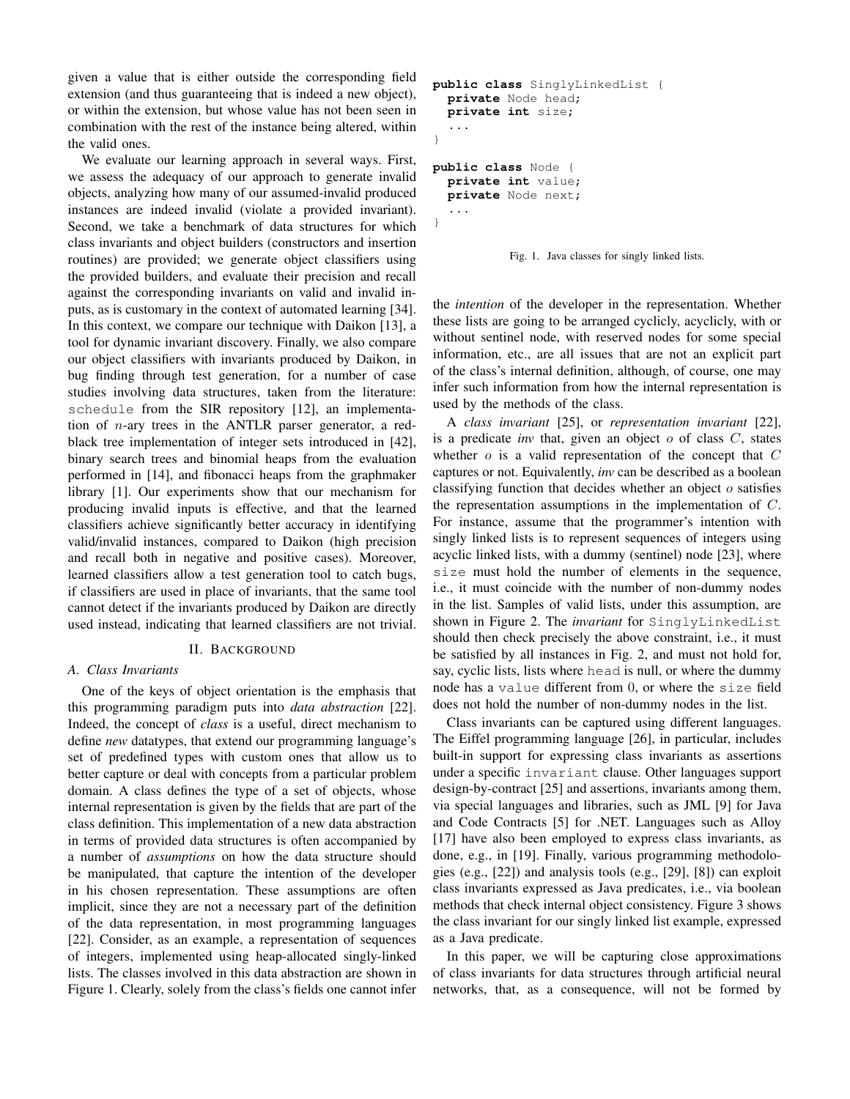given a value that is either outside the corresponding field extension (and thus guaranteeing that is indeed a new object), or within the extension, but whose value has not been seen in combination with the rest of the instance being altered, within the valid ones.

We evaluate our learning approach in several ways. First, we assess the adequacy of our approach to generate invalid objects, analyzing how many of our assumed-invalid produced instances are indeed invalid (violate a provided invariant). Second, we take a benchmark of data structures for which class invariants and object builders (constructors and insertion routines) are provided; we generate object classifiers using the provided builders, and evaluate their precision and recall against the corresponding invariants on valid and invalid inputs, as is customary in the context of automated learning [34]. In this context, we compare our technique with Daikon [13], a tool for dynamic invariant discovery. Finally, we also compare our object classifiers with invariants produced by Daikon, in bug finding through test generation, for a number of case studies involving data structures, taken from the literature: schedule from the SIR repository [12], an implementation of  $n$ -ary trees in the ANTLR parser generator, a redblack tree implementation of integer sets introduced in [42], binary search trees and binomial heaps from the evaluation performed in [14], and fibonacci heaps from the graphmaker library [1]. Our experiments show that our mechanism for producing invalid inputs is effective, and that the learned classifiers achieve significantly better accuracy in identifying valid/invalid instances, compared to Daikon (high precision and recall both in negative and positive cases). Moreover, learned classifiers allow a test generation tool to catch bugs, if classifiers are used in place of invariants, that the same tool cannot detect if the invariants produced by Daikon are directly used instead, indicating that learned classifiers are not trivial.

## II. BACKGROUND

## *A. Class Invariants*

One of the keys of object orientation is the emphasis that this programming paradigm puts into *data abstraction* [22]. Indeed, the concept of *class* is a useful, direct mechanism to define *new* datatypes, that extend our programming language's set of predefined types with custom ones that allow us to better capture or deal with concepts from a particular problem domain. A class defines the type of a set of objects, whose internal representation is given by the fields that are part of the class definition. This implementation of a new data abstraction in terms of provided data structures is often accompanied by a number of *assumptions* on how the data structure should be manipulated, that capture the intention of the developer in his chosen representation. These assumptions are often implicit, since they are not a necessary part of the definition of the data representation, in most programming languages [22]. Consider, as an example, a representation of sequences of integers, implemented using heap-allocated singly-linked lists. The classes involved in this data abstraction are shown in Figure 1. Clearly, solely from the class's fields one cannot infer

```
public class SinglyLinkedList {
 private Node head;
 private int size;
  ...
}
public class Node {
  private int value;
 private Node next;
  ...
}
```
Fig. 1. Java classes for singly linked lists.

the *intention* of the developer in the representation. Whether these lists are going to be arranged cyclicly, acyclicly, with or without sentinel node, with reserved nodes for some special information, etc., are all issues that are not an explicit part of the class's internal definition, although, of course, one may infer such information from how the internal representation is used by the methods of the class.

A *class invariant* [25], or *representation invariant* [22], is a predicate *inv* that, given an object o of class C, states whether  $o$  is a valid representation of the concept that  $C$ captures or not. Equivalently, *inv* can be described as a boolean classifying function that decides whether an object  $o$  satisfies the representation assumptions in the implementation of C. For instance, assume that the programmer's intention with singly linked lists is to represent sequences of integers using acyclic linked lists, with a dummy (sentinel) node [23], where size must hold the number of elements in the sequence, i.e., it must coincide with the number of non-dummy nodes in the list. Samples of valid lists, under this assumption, are shown in Figure 2. The *invariant* for SinglyLinkedList should then check precisely the above constraint, i.e., it must be satisfied by all instances in Fig. 2, and must not hold for, say, cyclic lists, lists where head is null, or where the dummy node has a value different from 0, or where the size field does not hold the number of non-dummy nodes in the list.

Class invariants can be captured using different languages. The Eiffel programming language [26], in particular, includes built-in support for expressing class invariants as assertions under a specific invariant clause. Other languages support design-by-contract [25] and assertions, invariants among them, via special languages and libraries, such as JML [9] for Java and Code Contracts [5] for .NET. Languages such as Alloy [17] have also been employed to express class invariants, as done, e.g., in [19]. Finally, various programming methodologies (e.g., [22]) and analysis tools (e.g., [29], [8]) can exploit class invariants expressed as Java predicates, i.e., via boolean methods that check internal object consistency. Figure 3 shows the class invariant for our singly linked list example, expressed as a Java predicate.

In this paper, we will be capturing close approximations of class invariants for data structures through artificial neural networks, that, as a consequence, will not be formed by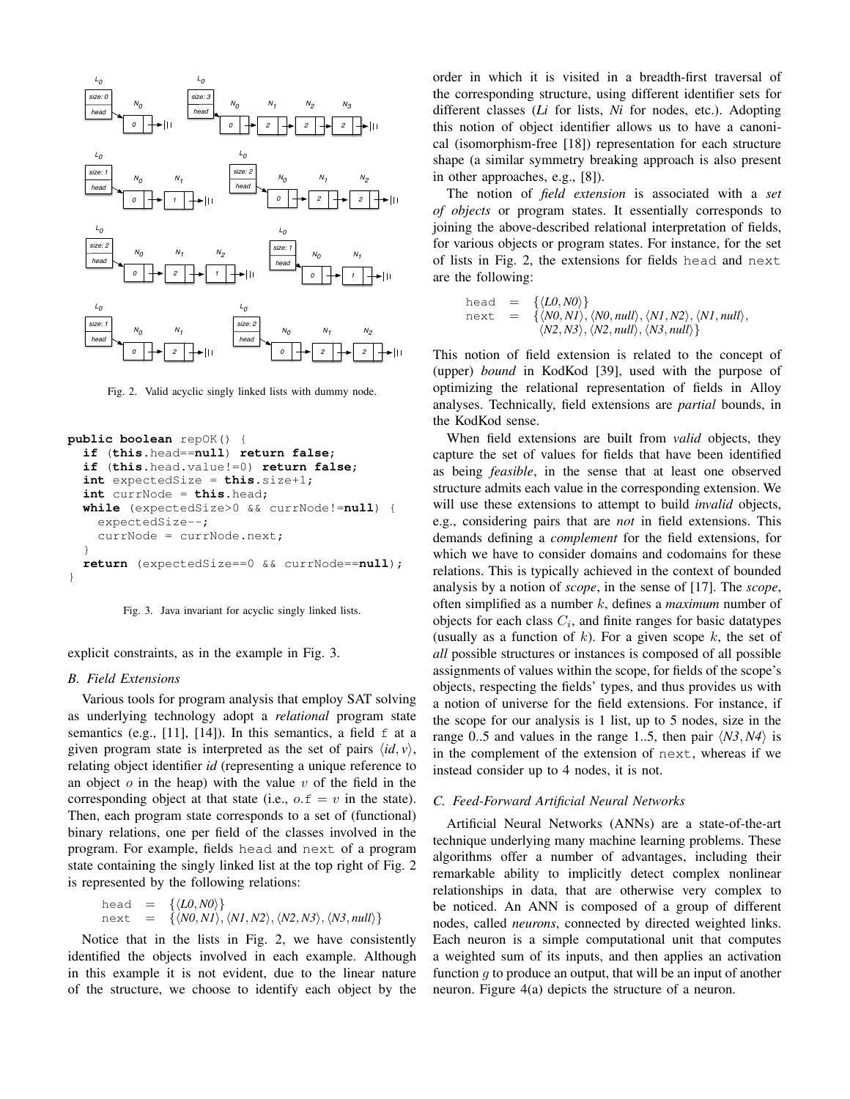

Fig. 2. Valid acyclic singly linked lists with dummy node.

```
public boolean repOK() {
  if (this.head==null) return false;
  if (this.head.value!=0) return false;
  int expectedSize = this.size+1;
  int currNode = this.head;
  while (expectedSize>0 && currNode!=null) {
    expectedSize--;
    currNode = currNode.next;
  }
  return (expectedSize==0 && currNode==null);
}
```


explicit constraints, as in the example in Fig. 3.

# *B. Field Extensions*

Various tools for program analysis that employ SAT solving as underlying technology adopt a *relational* program state semantics (e.g., [11], [14]). In this semantics, a field  $f$  at a given program state is interpreted as the set of pairs  $\langle id, v \rangle$ , relating object identifier *id* (representing a unique reference to an object  $o$  in the heap) with the value  $v$  of the field in the corresponding object at that state (i.e.,  $o.f = v$  in the state). Then, each program state corresponds to a set of (functional) binary relations, one per field of the classes involved in the program. For example, fields head and next of a program state containing the singly linked list at the top right of Fig. 2 is represented by the following relations:

head = {
$$
\langle L0, N0 \rangle
$$
}  
next = { $\langle N0, N1 \rangle$ ,  $\langle N1, N2 \rangle$ ,  $\langle N2, N3 \rangle$ ,  $\langle N3, null \rangle$ }

Notice that in the lists in Fig. 2, we have consistently identified the objects involved in each example. Although in this example it is not evident, due to the linear nature of the structure, we choose to identify each object by the order in which it is visited in a breadth-first traversal of the corresponding structure, using different identifier sets for different classes (*Li* for lists, *Ni* for nodes, etc.). Adopting this notion of object identifier allows us to have a canonical (isomorphism-free [18]) representation for each structure shape (a similar symmetry breaking approach is also present in other approaches, e.g., [8]).

The notion of *field extension* is associated with a *set of objects* or program states. It essentially corresponds to joining the above-described relational interpretation of fields, for various objects or program states. For instance, for the set of lists in Fig. 2, the extensions for fields head and next are the following:

head = {
$$
\langle L0, N0 \rangle
$$
}  
next = { $\langle N0, N1 \rangle$ ,  $\langle N0, null \rangle$ ,  $\langle N1, N2 \rangle$ ,  $\langle N1, null \rangle$ ,  $\langle N2, N3 \rangle$ ,  $\langle N2, null \rangle$ ,  $\langle N3, null \rangle$ }

This notion of field extension is related to the concept of (upper) *bound* in KodKod [39], used with the purpose of optimizing the relational representation of fields in Alloy analyses. Technically, field extensions are *partial* bounds, in the KodKod sense.

When field extensions are built from *valid* objects, they capture the set of values for fields that have been identified as being *feasible*, in the sense that at least one observed structure admits each value in the corresponding extension. We will use these extensions to attempt to build *invalid* objects, e.g., considering pairs that are *not* in field extensions. This demands defining a *complement* for the field extensions, for which we have to consider domains and codomains for these relations. This is typically achieved in the context of bounded analysis by a notion of *scope*, in the sense of [17]. The *scope*, often simplified as a number k, defines a *maximum* number of objects for each class  $C_i$ , and finite ranges for basic datatypes (usually as a function of  $k$ ). For a given scope  $k$ , the set of *all* possible structures or instances is composed of all possible assignments of values within the scope, for fields of the scope's objects, respecting the fields' types, and thus provides us with a notion of universe for the field extensions. For instance, if the scope for our analysis is 1 list, up to 5 nodes, size in the range 0..5 and values in the range 1..5, then pair  $\langle N3, N4 \rangle$  is in the complement of the extension of next, whereas if we instead consider up to 4 nodes, it is not.

## *C. Feed-Forward Artificial Neural Networks*

Artificial Neural Networks (ANNs) are a state-of-the-art technique underlying many machine learning problems. These algorithms offer a number of advantages, including their remarkable ability to implicitly detect complex nonlinear relationships in data, that are otherwise very complex to be noticed. An ANN is composed of a group of different nodes, called *neurons*, connected by directed weighted links. Each neuron is a simple computational unit that computes a weighted sum of its inputs, and then applies an activation function  $q$  to produce an output, that will be an input of another neuron. Figure 4(a) depicts the structure of a neuron.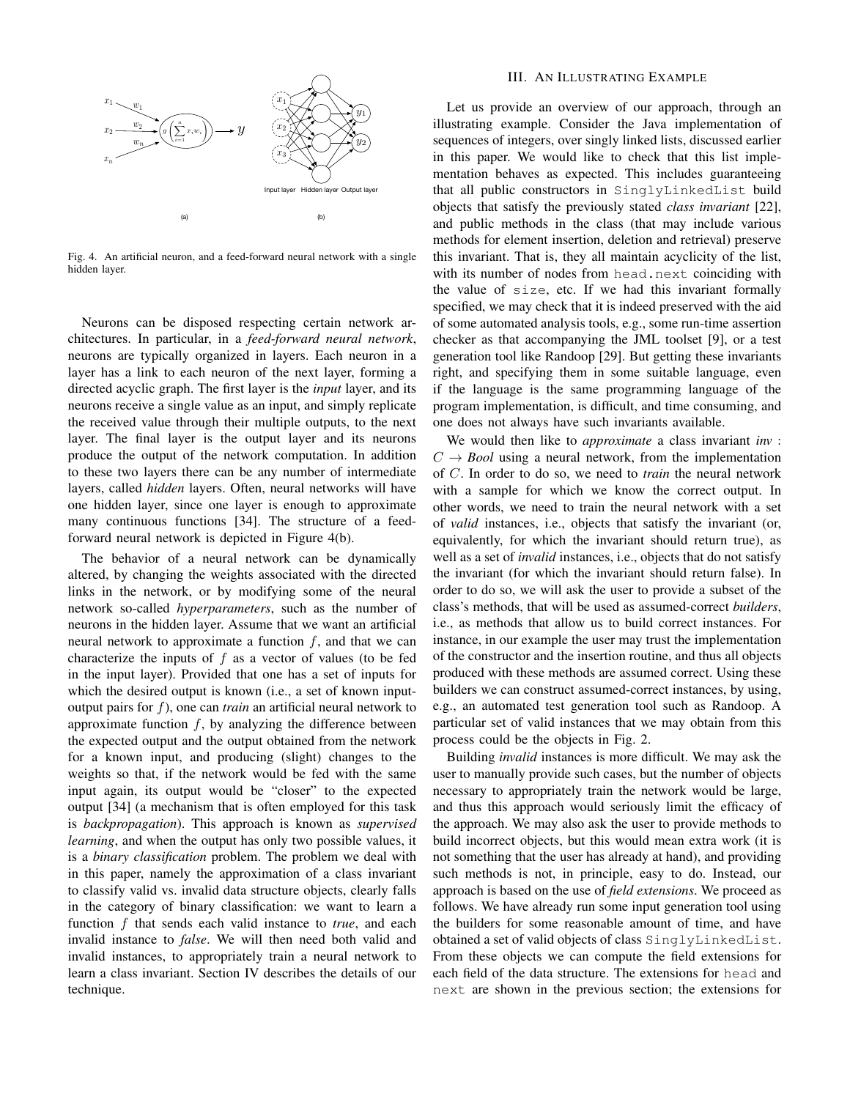

Fig. 4. An artificial neuron, and a feed-forward neural network with a single hidden layer.

Neurons can be disposed respecting certain network architectures. In particular, in a *feed-forward neural network*, neurons are typically organized in layers. Each neuron in a layer has a link to each neuron of the next layer, forming a directed acyclic graph. The first layer is the *input* layer, and its neurons receive a single value as an input, and simply replicate the received value through their multiple outputs, to the next layer. The final layer is the output layer and its neurons produce the output of the network computation. In addition to these two layers there can be any number of intermediate layers, called *hidden* layers. Often, neural networks will have one hidden layer, since one layer is enough to approximate many continuous functions [34]. The structure of a feedforward neural network is depicted in Figure 4(b).

The behavior of a neural network can be dynamically altered, by changing the weights associated with the directed links in the network, or by modifying some of the neural network so-called *hyperparameters*, such as the number of neurons in the hidden layer. Assume that we want an artificial neural network to approximate a function  $f$ , and that we can characterize the inputs of  $f$  as a vector of values (to be fed in the input layer). Provided that one has a set of inputs for which the desired output is known (i.e., a set of known inputoutput pairs for f), one can *train* an artificial neural network to approximate function  $f$ , by analyzing the difference between the expected output and the output obtained from the network for a known input, and producing (slight) changes to the weights so that, if the network would be fed with the same input again, its output would be "closer" to the expected output [34] (a mechanism that is often employed for this task is *backpropagation*). This approach is known as *supervised learning*, and when the output has only two possible values, it is a *binary classification* problem. The problem we deal with in this paper, namely the approximation of a class invariant to classify valid vs. invalid data structure objects, clearly falls in the category of binary classification: we want to learn a function f that sends each valid instance to *true*, and each invalid instance to *false*. We will then need both valid and invalid instances, to appropriately train a neural network to learn a class invariant. Section IV describes the details of our technique.

# III. AN ILLUSTRATING EXAMPLE

Let us provide an overview of our approach, through an illustrating example. Consider the Java implementation of sequences of integers, over singly linked lists, discussed earlier in this paper. We would like to check that this list implementation behaves as expected. This includes guaranteeing that all public constructors in SinglyLinkedList build objects that satisfy the previously stated *class invariant* [22], and public methods in the class (that may include various methods for element insertion, deletion and retrieval) preserve this invariant. That is, they all maintain acyclicity of the list, with its number of nodes from head.next coinciding with the value of size, etc. If we had this invariant formally specified, we may check that it is indeed preserved with the aid of some automated analysis tools, e.g., some run-time assertion checker as that accompanying the JML toolset [9], or a test generation tool like Randoop [29]. But getting these invariants right, and specifying them in some suitable language, even if the language is the same programming language of the program implementation, is difficult, and time consuming, and one does not always have such invariants available.

We would then like to *approximate* a class invariant *inv* :  $C \rightarrow \textit{Bool}$  using a neural network, from the implementation of C. In order to do so, we need to *train* the neural network with a sample for which we know the correct output. In other words, we need to train the neural network with a set of *valid* instances, i.e., objects that satisfy the invariant (or, equivalently, for which the invariant should return true), as well as a set of *invalid* instances, i.e., objects that do not satisfy the invariant (for which the invariant should return false). In order to do so, we will ask the user to provide a subset of the class's methods, that will be used as assumed-correct *builders*, i.e., as methods that allow us to build correct instances. For instance, in our example the user may trust the implementation of the constructor and the insertion routine, and thus all objects produced with these methods are assumed correct. Using these builders we can construct assumed-correct instances, by using, e.g., an automated test generation tool such as Randoop. A particular set of valid instances that we may obtain from this process could be the objects in Fig. 2.

Building *invalid* instances is more difficult. We may ask the user to manually provide such cases, but the number of objects necessary to appropriately train the network would be large, and thus this approach would seriously limit the efficacy of the approach. We may also ask the user to provide methods to build incorrect objects, but this would mean extra work (it is not something that the user has already at hand), and providing such methods is not, in principle, easy to do. Instead, our approach is based on the use of *field extensions*. We proceed as follows. We have already run some input generation tool using the builders for some reasonable amount of time, and have obtained a set of valid objects of class SinglyLinkedList. From these objects we can compute the field extensions for each field of the data structure. The extensions for head and next are shown in the previous section; the extensions for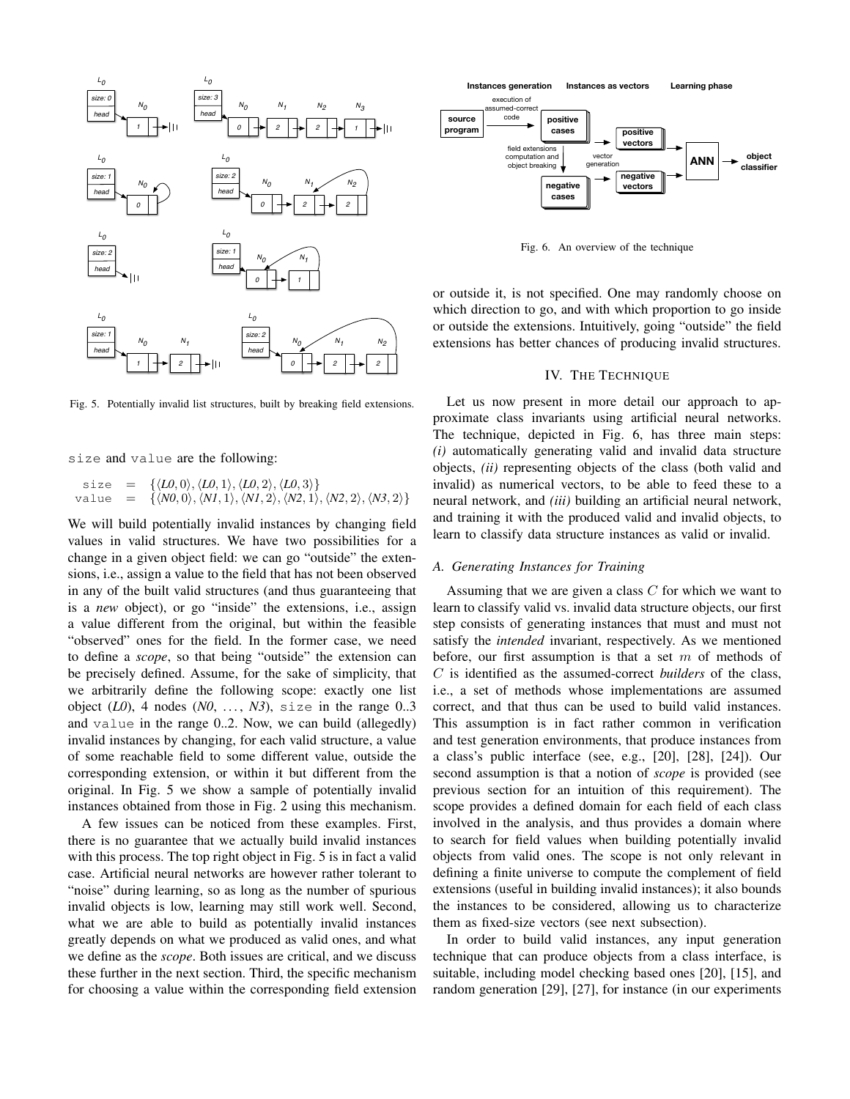

Fig. 5. Potentially invalid list structures, built by breaking field extensions.

size and value are the following:

 $size = {\langle \langle L0, 0 \rangle, \langle L0, 1 \rangle, \langle L0, 2 \rangle, \langle L0, 3 \rangle \}}$ value =  $\{\langle N0, 0 \rangle, \langle NI, 1 \rangle, \langle NI, 2 \rangle, \langle N2, 1 \rangle, \langle N2, 2 \rangle, \langle N3, 2 \rangle\}$ 

We will build potentially invalid instances by changing field values in valid structures. We have two possibilities for a change in a given object field: we can go "outside" the extensions, i.e., assign a value to the field that has not been observed in any of the built valid structures (and thus guaranteeing that is a *new* object), or go "inside" the extensions, i.e., assign a value different from the original, but within the feasible "observed" ones for the field. In the former case, we need to define a *scope*, so that being "outside" the extension can be precisely defined. Assume, for the sake of simplicity, that we arbitrarily define the following scope: exactly one list object  $(L0)$ , 4 nodes  $(N0, \ldots, N3)$ , size in the range 0..3 and value in the range 0..2. Now, we can build (allegedly) invalid instances by changing, for each valid structure, a value of some reachable field to some different value, outside the corresponding extension, or within it but different from the original. In Fig. 5 we show a sample of potentially invalid instances obtained from those in Fig. 2 using this mechanism.

A few issues can be noticed from these examples. First, there is no guarantee that we actually build invalid instances with this process. The top right object in Fig. 5 is in fact a valid case. Artificial neural networks are however rather tolerant to "noise" during learning, so as long as the number of spurious invalid objects is low, learning may still work well. Second, what we are able to build as potentially invalid instances greatly depends on what we produced as valid ones, and what we define as the *scope*. Both issues are critical, and we discuss these further in the next section. Third, the specific mechanism for choosing a value within the corresponding field extension



Fig. 6. An overview of the technique

or outside it, is not specified. One may randomly choose on which direction to go, and with which proportion to go inside or outside the extensions. Intuitively, going "outside" the field extensions has better chances of producing invalid structures.

# IV. THE TECHNIQUE

Let us now present in more detail our approach to approximate class invariants using artificial neural networks. The technique, depicted in Fig. 6, has three main steps: *(i)* automatically generating valid and invalid data structure objects, *(ii)* representing objects of the class (both valid and invalid) as numerical vectors, to be able to feed these to a neural network, and *(iii)* building an artificial neural network, and training it with the produced valid and invalid objects, to learn to classify data structure instances as valid or invalid.

#### *A. Generating Instances for Training*

Assuming that we are given a class  $C$  for which we want to learn to classify valid vs. invalid data structure objects, our first step consists of generating instances that must and must not satisfy the *intended* invariant, respectively. As we mentioned before, our first assumption is that a set  $m$  of methods of C is identified as the assumed-correct *builders* of the class, i.e., a set of methods whose implementations are assumed correct, and that thus can be used to build valid instances. This assumption is in fact rather common in verification and test generation environments, that produce instances from a class's public interface (see, e.g., [20], [28], [24]). Our second assumption is that a notion of *scope* is provided (see previous section for an intuition of this requirement). The scope provides a defined domain for each field of each class involved in the analysis, and thus provides a domain where to search for field values when building potentially invalid objects from valid ones. The scope is not only relevant in defining a finite universe to compute the complement of field extensions (useful in building invalid instances); it also bounds the instances to be considered, allowing us to characterize them as fixed-size vectors (see next subsection).

In order to build valid instances, any input generation technique that can produce objects from a class interface, is suitable, including model checking based ones [20], [15], and random generation [29], [27], for instance (in our experiments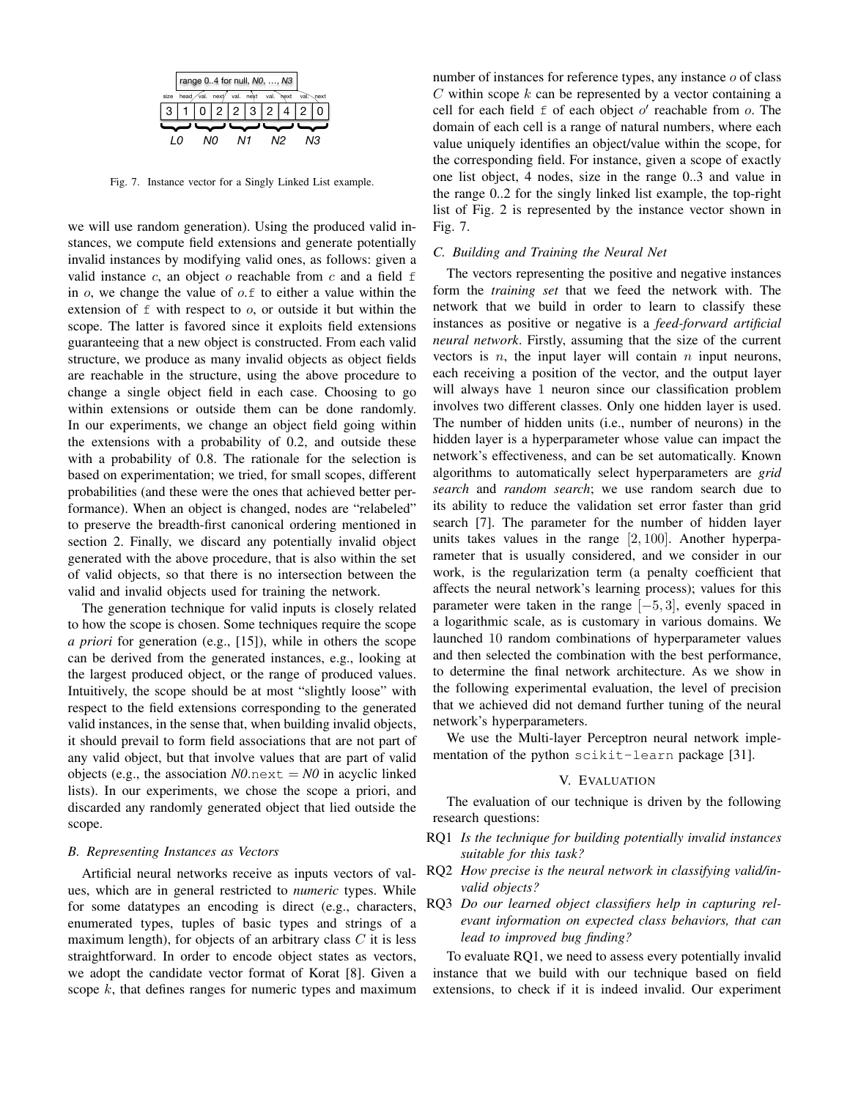

Fig. 7. Instance vector for a Singly Linked List example.

we will use random generation). Using the produced valid instances, we compute field extensions and generate potentially invalid instances by modifying valid ones, as follows: given a valid instance  $c$ , an object  $o$  reachable from  $c$  and a field  $f$ in  $\alpha$ , we change the value of  $\alpha$ . f to either a value within the extension of  $f$  with respect to  $o$ , or outside it but within the scope. The latter is favored since it exploits field extensions guaranteeing that a new object is constructed. From each valid structure, we produce as many invalid objects as object fields are reachable in the structure, using the above procedure to change a single object field in each case. Choosing to go within extensions or outside them can be done randomly. In our experiments, we change an object field going within the extensions with a probability of 0.2, and outside these with a probability of 0.8. The rationale for the selection is based on experimentation; we tried, for small scopes, different probabilities (and these were the ones that achieved better performance). When an object is changed, nodes are "relabeled" to preserve the breadth-first canonical ordering mentioned in section 2. Finally, we discard any potentially invalid object generated with the above procedure, that is also within the set of valid objects, so that there is no intersection between the valid and invalid objects used for training the network.

The generation technique for valid inputs is closely related to how the scope is chosen. Some techniques require the scope *a priori* for generation (e.g., [15]), while in others the scope can be derived from the generated instances, e.g., looking at the largest produced object, or the range of produced values. Intuitively, the scope should be at most "slightly loose" with respect to the field extensions corresponding to the generated valid instances, in the sense that, when building invalid objects, it should prevail to form field associations that are not part of any valid object, but that involve values that are part of valid objects (e.g., the association  $N0$  next =  $N0$  in acyclic linked lists). In our experiments, we chose the scope a priori, and discarded any randomly generated object that lied outside the scope.

#### *B. Representing Instances as Vectors*

Artificial neural networks receive as inputs vectors of values, which are in general restricted to *numeric* types. While for some datatypes an encoding is direct (e.g., characters, enumerated types, tuples of basic types and strings of a maximum length), for objects of an arbitrary class  $C$  it is less straightforward. In order to encode object states as vectors, we adopt the candidate vector format of Korat [8]. Given a scope  $k$ , that defines ranges for numeric types and maximum

number of instances for reference types, any instance o of class  $C$  within scope  $k$  can be represented by a vector containing a cell for each field  $f$  of each object  $o'$  reachable from  $o$ . The domain of each cell is a range of natural numbers, where each value uniquely identifies an object/value within the scope, for the corresponding field. For instance, given a scope of exactly one list object, 4 nodes, size in the range 0..3 and value in the range 0..2 for the singly linked list example, the top-right list of Fig. 2 is represented by the instance vector shown in Fig. 7.

# *C. Building and Training the Neural Net*

The vectors representing the positive and negative instances form the *training set* that we feed the network with. The network that we build in order to learn to classify these instances as positive or negative is a *feed-forward artificial neural network*. Firstly, assuming that the size of the current vectors is  $n$ , the input layer will contain  $n$  input neurons, each receiving a position of the vector, and the output layer will always have 1 neuron since our classification problem involves two different classes. Only one hidden layer is used. The number of hidden units (i.e., number of neurons) in the hidden layer is a hyperparameter whose value can impact the network's effectiveness, and can be set automatically. Known algorithms to automatically select hyperparameters are *grid search* and *random search*; we use random search due to its ability to reduce the validation set error faster than grid search [7]. The parameter for the number of hidden layer units takes values in the range  $[2, 100]$ . Another hyperparameter that is usually considered, and we consider in our work, is the regularization term (a penalty coefficient that affects the neural network's learning process); values for this parameter were taken in the range [−5, 3], evenly spaced in a logarithmic scale, as is customary in various domains. We launched 10 random combinations of hyperparameter values and then selected the combination with the best performance, to determine the final network architecture. As we show in the following experimental evaluation, the level of precision that we achieved did not demand further tuning of the neural network's hyperparameters.

We use the Multi-layer Perceptron neural network implementation of the python scikit-learn package [31].

#### V. EVALUATION

The evaluation of our technique is driven by the following research questions:

- RQ1 *Is the technique for building potentially invalid instances suitable for this task?*
- RQ2 *How precise is the neural network in classifying valid/invalid objects?*
- RQ3 *Do our learned object classifiers help in capturing relevant information on expected class behaviors, that can lead to improved bug finding?*

To evaluate RQ1, we need to assess every potentially invalid instance that we build with our technique based on field extensions, to check if it is indeed invalid. Our experiment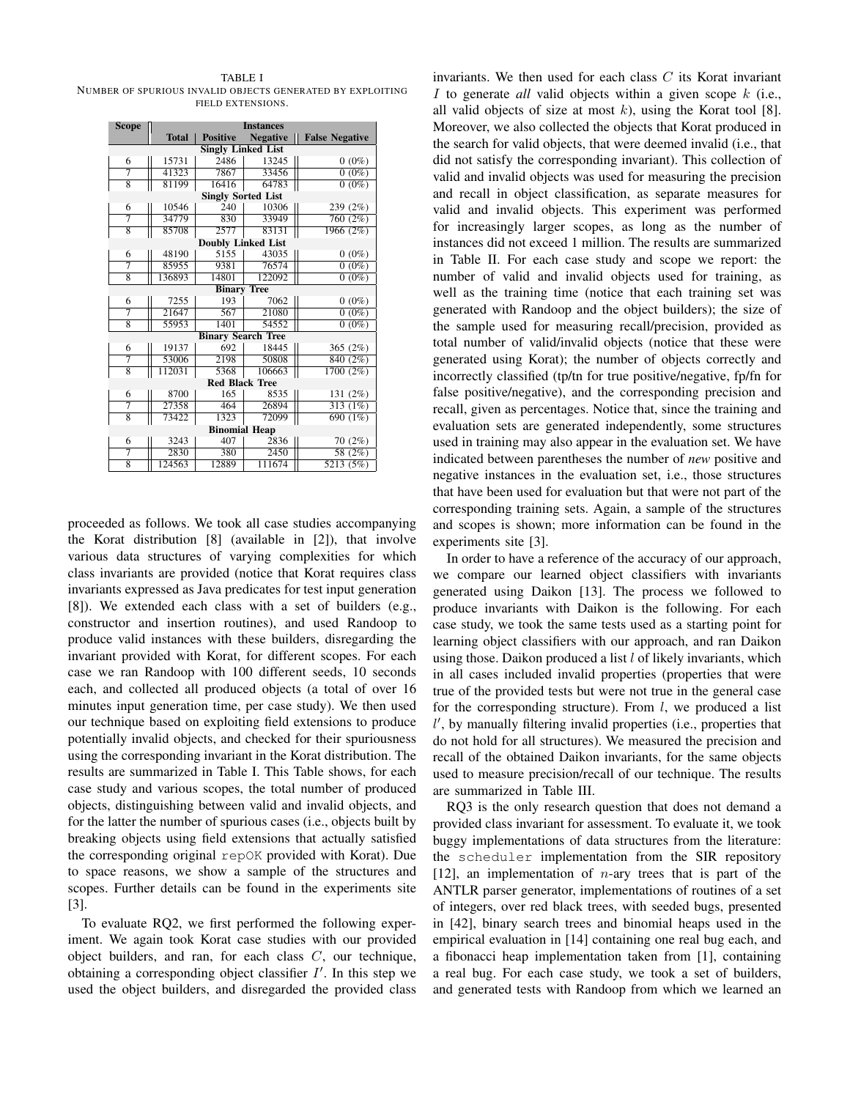TABLE I NUMBER OF SPURIOUS INVALID OBJECTS GENERATED BY EXPLOITING FIELD EXTENSIONS.

| <b>Scope</b>              | <b>Instances</b> |                           |                 |                         |  |  |  |  |  |  |  |  |
|---------------------------|------------------|---------------------------|-----------------|-------------------------|--|--|--|--|--|--|--|--|
|                           | <b>Total</b>     | <b>Positive</b>           | <b>Negative</b> | <b>False Negative</b>   |  |  |  |  |  |  |  |  |
| <b>Singly Linked List</b> |                  |                           |                 |                         |  |  |  |  |  |  |  |  |
| 6                         | 15731            | 2486                      | 13245           | $0(0\%)$                |  |  |  |  |  |  |  |  |
| 7                         | 41323            | 7867                      | 33456           | $(0\%)$<br>$\mathbf{0}$ |  |  |  |  |  |  |  |  |
| $\overline{8}$            | 81199            | 16416                     | 64783           | $0(0\%)$                |  |  |  |  |  |  |  |  |
| <b>Singly Sorted List</b> |                  |                           |                 |                         |  |  |  |  |  |  |  |  |
| 6                         | 10546            | 240                       | 10306           | 239 (2%)                |  |  |  |  |  |  |  |  |
| 7                         | 34779            | 830                       | 33949           | 760 (2%)                |  |  |  |  |  |  |  |  |
| $\overline{8}$            | 85708            | 2577                      | 83131           | 1966 (2%)               |  |  |  |  |  |  |  |  |
| <b>Doubly Linked List</b> |                  |                           |                 |                         |  |  |  |  |  |  |  |  |
| 6                         | 48190            | 5155                      | 43035           | $0(0\%)$                |  |  |  |  |  |  |  |  |
| 7                         | 85955            | 9381                      | 76574           | $0(0\%)$                |  |  |  |  |  |  |  |  |
| 8                         | 136893           | 14801                     | 122092          | $(0\%)$<br>$\Omega$     |  |  |  |  |  |  |  |  |
| <b>Binary Tree</b>        |                  |                           |                 |                         |  |  |  |  |  |  |  |  |
| 6                         | 7255             | 193                       | 7062            | $0(0\%)$                |  |  |  |  |  |  |  |  |
| 7                         | 21647            | 567                       | 21080           | $0(0\%)$                |  |  |  |  |  |  |  |  |
| $\overline{8}$            | 55953            | 1401                      | 54552           | $0(0\%)$                |  |  |  |  |  |  |  |  |
|                           |                  | <b>Binary Search Tree</b> |                 |                         |  |  |  |  |  |  |  |  |
| 6                         | 19137            | 692                       | 18445           | 365 $(2%)$              |  |  |  |  |  |  |  |  |
| 7                         | 53006            | 2198                      | 50808           | 840 (2%)                |  |  |  |  |  |  |  |  |
| $\overline{8}$            | 112031           | 5368                      | 106663          | 1700(2%)                |  |  |  |  |  |  |  |  |
|                           |                  | <b>Red Black Tree</b>     |                 |                         |  |  |  |  |  |  |  |  |
| 6                         | 8700             | 165                       | 8535            | 131 (2%)                |  |  |  |  |  |  |  |  |
| 7                         | 27358            | 464                       | 26894           | 313(1%)                 |  |  |  |  |  |  |  |  |
| $\overline{8}$            | 73422            | 1323                      | 72099           | 690 (1%)                |  |  |  |  |  |  |  |  |
| <b>Binomial Heap</b>      |                  |                           |                 |                         |  |  |  |  |  |  |  |  |
| 6                         | 3243             | 407                       | 2836            | 70(2%)                  |  |  |  |  |  |  |  |  |
| 7                         | 2830             | 380                       | 2450            | 58 (2%)                 |  |  |  |  |  |  |  |  |
| 8                         | 124563           | 12889                     | 111674          | 5213(5%)                |  |  |  |  |  |  |  |  |

proceeded as follows. We took all case studies accompanying the Korat distribution [8] (available in [2]), that involve various data structures of varying complexities for which class invariants are provided (notice that Korat requires class invariants expressed as Java predicates for test input generation [8]). We extended each class with a set of builders (e.g., constructor and insertion routines), and used Randoop to produce valid instances with these builders, disregarding the invariant provided with Korat, for different scopes. For each case we ran Randoop with 100 different seeds, 10 seconds each, and collected all produced objects (a total of over 16 minutes input generation time, per case study). We then used our technique based on exploiting field extensions to produce potentially invalid objects, and checked for their spuriousness using the corresponding invariant in the Korat distribution. The results are summarized in Table I. This Table shows, for each case study and various scopes, the total number of produced objects, distinguishing between valid and invalid objects, and for the latter the number of spurious cases (i.e., objects built by breaking objects using field extensions that actually satisfied the corresponding original repOK provided with Korat). Due to space reasons, we show a sample of the structures and scopes. Further details can be found in the experiments site [3].

To evaluate RQ2, we first performed the following experiment. We again took Korat case studies with our provided object builders, and ran, for each class  $C$ , our technique, obtaining a corresponding object classifier  $I'$ . In this step we used the object builders, and disregarded the provided class invariants. We then used for each class  $C$  its Korat invariant I to generate *all* valid objects within a given scope k (i.e., all valid objects of size at most  $k$ ), using the Korat tool [8]. Moreover, we also collected the objects that Korat produced in the search for valid objects, that were deemed invalid (i.e., that did not satisfy the corresponding invariant). This collection of valid and invalid objects was used for measuring the precision and recall in object classification, as separate measures for valid and invalid objects. This experiment was performed for increasingly larger scopes, as long as the number of instances did not exceed 1 million. The results are summarized in Table II. For each case study and scope we report: the number of valid and invalid objects used for training, as well as the training time (notice that each training set was generated with Randoop and the object builders); the size of the sample used for measuring recall/precision, provided as total number of valid/invalid objects (notice that these were generated using Korat); the number of objects correctly and incorrectly classified (tp/tn for true positive/negative, fp/fn for false positive/negative), and the corresponding precision and recall, given as percentages. Notice that, since the training and evaluation sets are generated independently, some structures used in training may also appear in the evaluation set. We have indicated between parentheses the number of *new* positive and negative instances in the evaluation set, i.e., those structures that have been used for evaluation but that were not part of the corresponding training sets. Again, a sample of the structures and scopes is shown; more information can be found in the experiments site [3].

In order to have a reference of the accuracy of our approach, we compare our learned object classifiers with invariants generated using Daikon [13]. The process we followed to produce invariants with Daikon is the following. For each case study, we took the same tests used as a starting point for learning object classifiers with our approach, and ran Daikon using those. Daikon produced a list  $l$  of likely invariants, which in all cases included invalid properties (properties that were true of the provided tests but were not true in the general case for the corresponding structure). From  $l$ , we produced a list l', by manually filtering invalid properties (i.e., properties that do not hold for all structures). We measured the precision and recall of the obtained Daikon invariants, for the same objects used to measure precision/recall of our technique. The results are summarized in Table III.

RQ3 is the only research question that does not demand a provided class invariant for assessment. To evaluate it, we took buggy implementations of data structures from the literature: the scheduler implementation from the SIR repository [12], an implementation of  $n$ -ary trees that is part of the ANTLR parser generator, implementations of routines of a set of integers, over red black trees, with seeded bugs, presented in [42], binary search trees and binomial heaps used in the empirical evaluation in [14] containing one real bug each, and a fibonacci heap implementation taken from [1], containing a real bug. For each case study, we took a set of builders, and generated tests with Randoop from which we learned an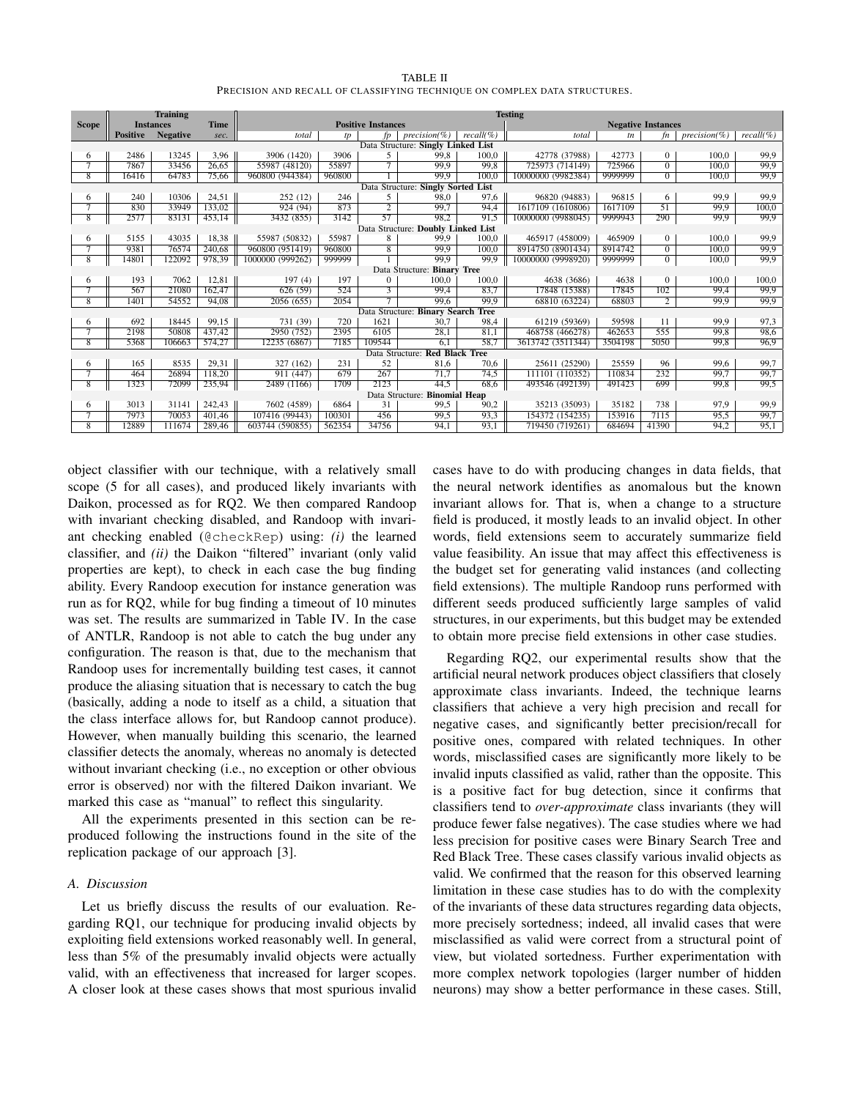| TABLE II                                                                  |  |
|---------------------------------------------------------------------------|--|
| PRECISION AND RECALL OF CLASSIFYING TECHNIQUE ON COMPLEX DATA STRUCTURES. |  |

|                                    | <b>Training</b>                |                 |                           | <b>Testing</b>   |        |                           |                                    |             |                    |         |                 |                 |             |
|------------------------------------|--------------------------------|-----------------|---------------------------|------------------|--------|---------------------------|------------------------------------|-------------|--------------------|---------|-----------------|-----------------|-------------|
| <b>Scope</b>                       | Time<br><b>Instances</b>       |                 | <b>Positive Instances</b> |                  |        | <b>Negative Instances</b> |                                    |             |                    |         |                 |                 |             |
|                                    | <b>Positive</b>                | <b>Negative</b> | sec.                      | total            | tp     | fp                        | $precision(\%)$                    | $recall$ %) | total              | tn      | fn              | $precision(\%)$ | $recall$ %) |
| Data Structure: Singly Linked List |                                |                 |                           |                  |        |                           |                                    |             |                    |         |                 |                 |             |
| 6                                  | 2486                           | 13245           | 3,96                      | 3906 (1420)      | 3906   | 5                         | 99.8                               | 100.0       | 42778 (37988)      | 42773   | $\mathbf{0}$    | 100.0           | 99,9        |
|                                    | 7867                           | 33456           | 26,65                     | 55987 (48120)    | 55897  |                           | 99.9                               | 99.8        | 725973 (714149)    | 725966  | $\Omega$        | 100.0           | 99.9        |
| $\overline{8}$                     | 16416                          | 64783           | 75.66                     | 960800 (944384)  | 960800 |                           | 99,9                               | 100.0       | 10000000 (9982384) | 9999999 | $\overline{0}$  | 100.0           | 99,9        |
|                                    |                                |                 |                           |                  |        |                           | Data Structure: Singly Sorted List |             |                    |         |                 |                 |             |
| 6                                  | 240                            | 10306           | 24,51                     | 252(12)          | 246    | 5                         | 98.0                               | 97.6        | 96820 (94883)      | 96815   | 6               | 99,9            | 99,9        |
| 7                                  | 830                            | 33949           | 133,02                    | 924(94)          | 873    | $\overline{2}$            | 99.7                               | 94,4        | 1617109 (1610806)  | 1617109 | $\overline{51}$ | 99.9            | 100,0       |
| $\overline{8}$                     | 2577                           | 83131           | 453.14                    | 3432 (855)       | 3142   | $\overline{57}$           | 98.2                               | 91.5        | 10000000 (9988045) | 9999943 | 290             | 99.9            | 99.9        |
|                                    |                                |                 |                           |                  |        |                           | Data Structure: Doubly Linked List |             |                    |         |                 |                 |             |
| 6                                  | 5155                           | 43035           | 18,38                     | 55987 (50832)    | 55987  | 8                         | 99.9                               | 100.0       | 465917 (458009)    | 465909  | $\mathbf{0}$    | 100.0           | 99.9        |
| 7                                  | 9381                           | 76574           | 240.68                    | 960800 (951419)  | 960800 | 8                         | 99.9                               | 100.0       | 8914750 (8901434)  | 8914742 | $\overline{0}$  | 100.0           | 99.9        |
| 8                                  | 14801                          | 122092          | 978,39                    | 1000000 (999262) | 999999 |                           | 99.9                               | 99.9        | 10000000 (9998920) | 9999999 | $\overline{0}$  | 100.0           | 99,9        |
|                                    | Data Structure: Binary Tree    |                 |                           |                  |        |                           |                                    |             |                    |         |                 |                 |             |
| 6                                  | 193                            | 7062            | 12,81                     | 197(4)           | 197    | $\Omega$                  | 100.0                              | 100.0       | 4638 (3686)        | 4638    | $\Omega$        | 100.0           | 100,0       |
| 7                                  | 567                            | 21080           | 162,47                    | 626 (59)         | 524    | 3                         | 99,4                               | 83,7        | 17848 (15388)      | 17845   | 102             | 99.4            | 99,9        |
| $\overline{8}$                     | 1401                           | 54552           | 94,08                     | 2056 (655)       | 2054   | $\overline{\tau}$         | 99.6                               | 99.9        | 68810 (63224)      | 68803   | $\overline{2}$  | 99.9            | 99.9        |
|                                    |                                |                 |                           |                  |        |                           | Data Structure: Binary Search Tree |             |                    |         |                 |                 |             |
| 6                                  | 692                            | 18445           | 99,15                     | 731 (39)         | 720    | 1621                      | 30.7                               | 98,4        | 61219 (59369)      | 59598   | 11              | 99.9            | 97,3        |
| 7                                  | 2198                           | 50808           | 437,42                    | 2950 (752)       | 2395   | 6105                      | 28,1                               | 81,1        | 468758 (466278)    | 462653  | 555             | 99.8            | 98,6        |
| 8                                  | 5368                           | 106663          | 574,27                    | 12235 (6867)     | 7185   | 109544                    | 6,1                                | 58,7        | 3613742 (3511344)  | 3504198 | 5050            | 99,8            | 96,9        |
|                                    | Data Structure: Red Black Tree |                 |                           |                  |        |                           |                                    |             |                    |         |                 |                 |             |
| 6                                  | 165                            | 8535            | 29,31                     | 327 (162)        | 231    | 52                        | 81,6                               | 70.6        | 25611 (25290)      | 25559   | 96              | 99.6            | 99,7        |
|                                    | 464                            | 26894           | 118.20                    | 911(447)         | 679    | 267                       | 71.7                               | 74,5        | 111101 (110352)    | 110834  | 232             | 99.7            | 99.7        |
| 8                                  | 1323                           | 72099           | 235,94                    | 2489(1166)       | 1709   | 2123                      | 44.5                               | 68.6        | 493546 (492139)    | 491423  | 699             | 99.8            | 99.5        |
|                                    | Data Structure: Binomial Heap  |                 |                           |                  |        |                           |                                    |             |                    |         |                 |                 |             |
| 6                                  | 3013                           | 31141           | 242,43                    | 7602 (4589)      | 6864   | 31                        | 99.5                               | 90,2        | 35213 (35093)      | 35182   | 738             | 97.9            | 99,9        |
| 7                                  | 7973                           | 70053           | 401.46                    | 107416 (99443)   | 100301 | 456                       | 99,5                               | 93,3        | 154372 (154235)    | 153916  | 7115            | 95.5            | 99,7        |
| 8                                  | 12889                          | 111674          | 289,46                    | 603744 (590855)  | 562354 | 34756                     | 94.1                               | 93,1        | 719450 (719261)    | 684694  | 41390           | 94,2            | 95,1        |

object classifier with our technique, with a relatively small scope (5 for all cases), and produced likely invariants with Daikon, processed as for RQ2. We then compared Randoop with invariant checking disabled, and Randoop with invariant checking enabled (@checkRep) using: *(i)* the learned classifier, and *(ii)* the Daikon "filtered" invariant (only valid properties are kept), to check in each case the bug finding ability. Every Randoop execution for instance generation was run as for RQ2, while for bug finding a timeout of 10 minutes was set. The results are summarized in Table IV. In the case of ANTLR, Randoop is not able to catch the bug under any configuration. The reason is that, due to the mechanism that Randoop uses for incrementally building test cases, it cannot produce the aliasing situation that is necessary to catch the bug (basically, adding a node to itself as a child, a situation that the class interface allows for, but Randoop cannot produce). However, when manually building this scenario, the learned classifier detects the anomaly, whereas no anomaly is detected without invariant checking (i.e., no exception or other obvious error is observed) nor with the filtered Daikon invariant. We marked this case as "manual" to reflect this singularity.

All the experiments presented in this section can be reproduced following the instructions found in the site of the replication package of our approach [3].

# *A. Discussion*

Let us briefly discuss the results of our evaluation. Regarding RQ1, our technique for producing invalid objects by exploiting field extensions worked reasonably well. In general, less than 5% of the presumably invalid objects were actually valid, with an effectiveness that increased for larger scopes. A closer look at these cases shows that most spurious invalid cases have to do with producing changes in data fields, that the neural network identifies as anomalous but the known invariant allows for. That is, when a change to a structure field is produced, it mostly leads to an invalid object. In other words, field extensions seem to accurately summarize field value feasibility. An issue that may affect this effectiveness is the budget set for generating valid instances (and collecting field extensions). The multiple Randoop runs performed with different seeds produced sufficiently large samples of valid structures, in our experiments, but this budget may be extended to obtain more precise field extensions in other case studies.

Regarding RQ2, our experimental results show that the artificial neural network produces object classifiers that closely approximate class invariants. Indeed, the technique learns classifiers that achieve a very high precision and recall for negative cases, and significantly better precision/recall for positive ones, compared with related techniques. In other words, misclassified cases are significantly more likely to be invalid inputs classified as valid, rather than the opposite. This is a positive fact for bug detection, since it confirms that classifiers tend to *over-approximate* class invariants (they will produce fewer false negatives). The case studies where we had less precision for positive cases were Binary Search Tree and Red Black Tree. These cases classify various invalid objects as valid. We confirmed that the reason for this observed learning limitation in these case studies has to do with the complexity of the invariants of these data structures regarding data objects, more precisely sortedness; indeed, all invalid cases that were misclassified as valid were correct from a structural point of view, but violated sortedness. Further experimentation with more complex network topologies (larger number of hidden neurons) may show a better performance in these cases. Still,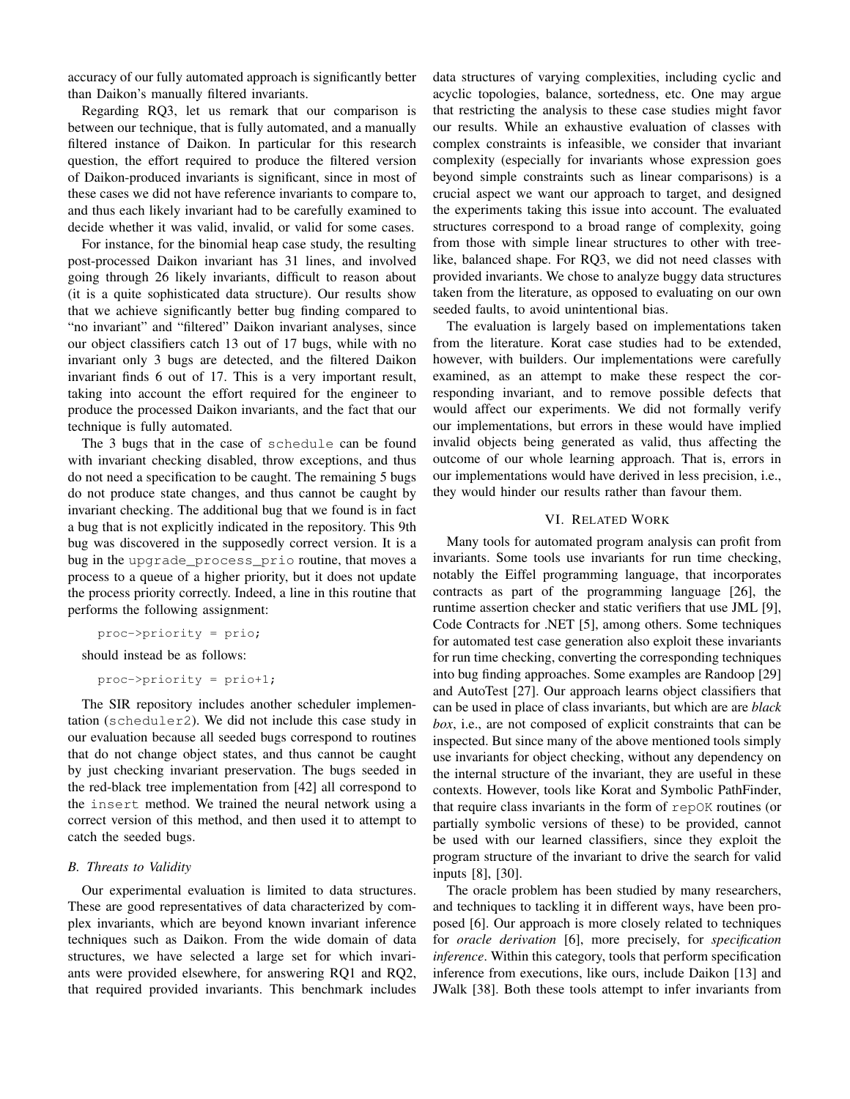accuracy of our fully automated approach is significantly better than Daikon's manually filtered invariants.

Regarding RQ3, let us remark that our comparison is between our technique, that is fully automated, and a manually filtered instance of Daikon. In particular for this research question, the effort required to produce the filtered version of Daikon-produced invariants is significant, since in most of these cases we did not have reference invariants to compare to, and thus each likely invariant had to be carefully examined to decide whether it was valid, invalid, or valid for some cases.

For instance, for the binomial heap case study, the resulting post-processed Daikon invariant has 31 lines, and involved going through 26 likely invariants, difficult to reason about (it is a quite sophisticated data structure). Our results show that we achieve significantly better bug finding compared to "no invariant" and "filtered" Daikon invariant analyses, since our object classifiers catch 13 out of 17 bugs, while with no invariant only 3 bugs are detected, and the filtered Daikon invariant finds 6 out of 17. This is a very important result, taking into account the effort required for the engineer to produce the processed Daikon invariants, and the fact that our technique is fully automated.

The 3 bugs that in the case of schedule can be found with invariant checking disabled, throw exceptions, and thus do not need a specification to be caught. The remaining 5 bugs do not produce state changes, and thus cannot be caught by invariant checking. The additional bug that we found is in fact a bug that is not explicitly indicated in the repository. This 9th bug was discovered in the supposedly correct version. It is a bug in the upgrade process prio routine, that moves a process to a queue of a higher priority, but it does not update the process priority correctly. Indeed, a line in this routine that performs the following assignment:

proc->priority = prio;

should instead be as follows:

proc->priority = prio+1;

The SIR repository includes another scheduler implementation (scheduler2). We did not include this case study in our evaluation because all seeded bugs correspond to routines that do not change object states, and thus cannot be caught by just checking invariant preservation. The bugs seeded in the red-black tree implementation from [42] all correspond to the insert method. We trained the neural network using a correct version of this method, and then used it to attempt to catch the seeded bugs.

## *B. Threats to Validity*

Our experimental evaluation is limited to data structures. These are good representatives of data characterized by complex invariants, which are beyond known invariant inference techniques such as Daikon. From the wide domain of data structures, we have selected a large set for which invariants were provided elsewhere, for answering RQ1 and RQ2, that required provided invariants. This benchmark includes data structures of varying complexities, including cyclic and acyclic topologies, balance, sortedness, etc. One may argue that restricting the analysis to these case studies might favor our results. While an exhaustive evaluation of classes with complex constraints is infeasible, we consider that invariant complexity (especially for invariants whose expression goes beyond simple constraints such as linear comparisons) is a crucial aspect we want our approach to target, and designed the experiments taking this issue into account. The evaluated structures correspond to a broad range of complexity, going from those with simple linear structures to other with treelike, balanced shape. For RQ3, we did not need classes with provided invariants. We chose to analyze buggy data structures taken from the literature, as opposed to evaluating on our own seeded faults, to avoid unintentional bias.

The evaluation is largely based on implementations taken from the literature. Korat case studies had to be extended, however, with builders. Our implementations were carefully examined, as an attempt to make these respect the corresponding invariant, and to remove possible defects that would affect our experiments. We did not formally verify our implementations, but errors in these would have implied invalid objects being generated as valid, thus affecting the outcome of our whole learning approach. That is, errors in our implementations would have derived in less precision, i.e., they would hinder our results rather than favour them.

# VI. RELATED WORK

Many tools for automated program analysis can profit from invariants. Some tools use invariants for run time checking, notably the Eiffel programming language, that incorporates contracts as part of the programming language [26], the runtime assertion checker and static verifiers that use JML [9], Code Contracts for .NET [5], among others. Some techniques for automated test case generation also exploit these invariants for run time checking, converting the corresponding techniques into bug finding approaches. Some examples are Randoop [29] and AutoTest [27]. Our approach learns object classifiers that can be used in place of class invariants, but which are are *black box*, i.e., are not composed of explicit constraints that can be inspected. But since many of the above mentioned tools simply use invariants for object checking, without any dependency on the internal structure of the invariant, they are useful in these contexts. However, tools like Korat and Symbolic PathFinder, that require class invariants in the form of repOK routines (or partially symbolic versions of these) to be provided, cannot be used with our learned classifiers, since they exploit the program structure of the invariant to drive the search for valid inputs [8], [30].

The oracle problem has been studied by many researchers, and techniques to tackling it in different ways, have been proposed [6]. Our approach is more closely related to techniques for *oracle derivation* [6], more precisely, for *specification inference*. Within this category, tools that perform specification inference from executions, like ours, include Daikon [13] and JWalk [38]. Both these tools attempt to infer invariants from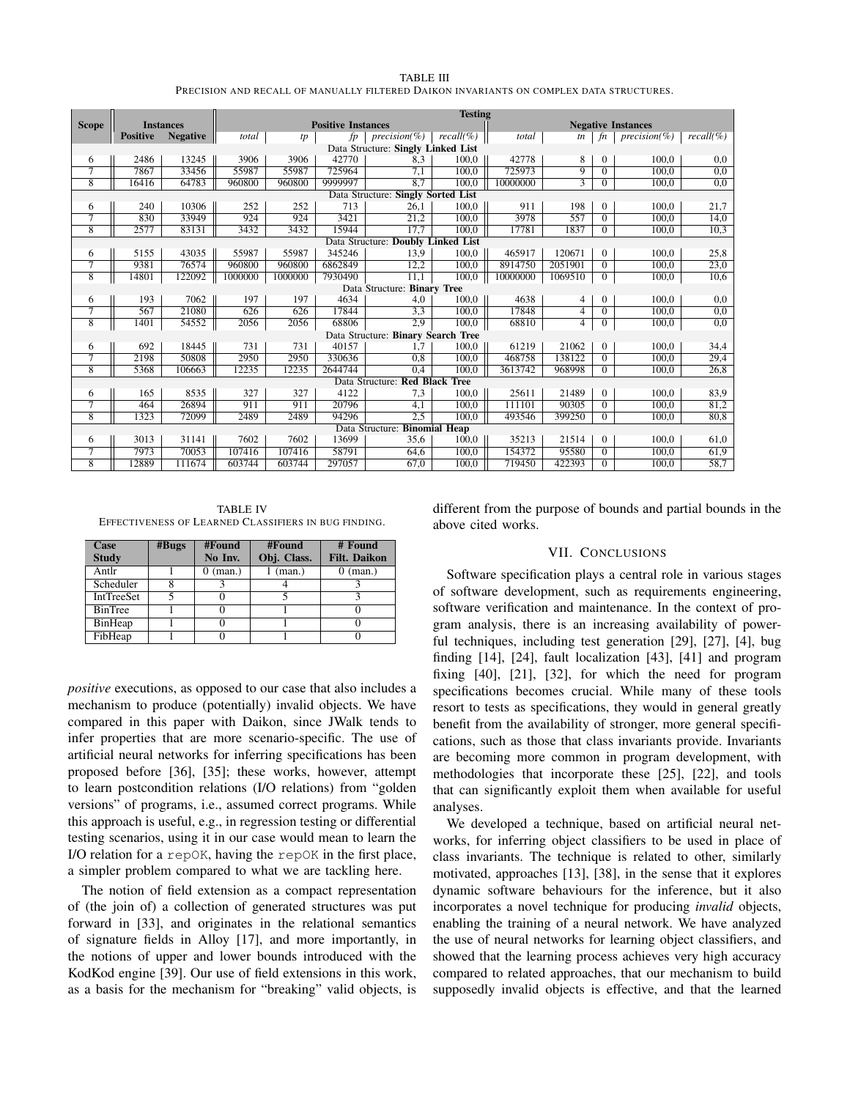| TABLE III                                                                               |
|-----------------------------------------------------------------------------------------|
| PRECISION AND RECALL OF MANUALLY FILTERED DAIKON INVARIANTS ON COMPLEX DATA STRUCTURES. |

|                                    |                 |                  |                           |         |         |                                    | <b>Testing</b> |                           |                |                |                 |            |
|------------------------------------|-----------------|------------------|---------------------------|---------|---------|------------------------------------|----------------|---------------------------|----------------|----------------|-----------------|------------|
| <b>Scope</b>                       |                 | <b>Instances</b> | <b>Positive Instances</b> |         |         |                                    |                | <b>Negative Instances</b> |                |                |                 |            |
|                                    | <b>Positive</b> | <b>Negative</b>  | total                     | tp      | fv      | $precision(\%)$                    | $recall$ %)    | total                     | tn             | fn             | $precision(\%)$ | $recall$ % |
| Data Structure: Singly Linked List |                 |                  |                           |         |         |                                    |                |                           |                |                |                 |            |
| 6                                  | 2486            | 13245            | 3906                      | 3906    | 42770   | 8,3                                | 100.0          | 42778                     | 8              | $\overline{0}$ | 100.0           | 0,0        |
| 7                                  | 7867            | 33456            | 55987                     | 55987   | 725964  | 7,1                                | 100.0          | 725973                    | $\overline{9}$ | $\overline{0}$ | 100.0           | 0.0        |
| $\overline{8}$                     | 16416           | 64783            | 960800                    | 960800  | 9999997 | 8,7                                | 100.0          | 10000000                  | $\overline{3}$ | $\overline{0}$ | 100,0           | 0,0        |
|                                    |                 |                  |                           |         |         | Data Structure: Singly Sorted List |                |                           |                |                |                 |            |
| 6                                  | 240             | 10306            | 252                       | 252     | 713     | 26.1                               | 100.0          | 911                       | 198            | $\Omega$       | 100.0           | 21,7       |
| 7                                  | 830             | 33949            | 924                       | 924     | 3421    | 21,2                               | 100.0          | 3978                      | 557            | $\Omega$       | 100.0           | 14,0       |
| $\overline{8}$                     | 2577            | 83131            | 3432                      | 3432    | 15944   | 17,7                               | 100.0          | 17781                     | 1837           | $\overline{0}$ | 100.0           | 10.3       |
|                                    |                 |                  |                           |         |         | Data Structure: Doubly Linked List |                |                           |                |                |                 |            |
| 6                                  | 5155            | 43035            | 55987                     | 55987   | 345246  | 13,9                               | 100.0          | 465917                    | 120671         | $\overline{0}$ | 100.0           | 25,8       |
| 7                                  | 9381            | 76574            | 960800                    | 960800  | 6862849 | 12,2                               | 100.0          | 8914750                   | 2051901        | $\overline{0}$ | 100.0           | 23,0       |
| $\overline{8}$                     | 14801           | 122092           | 1000000                   | 1000000 | 7930490 | 11.1                               | 100.0          | 10000000                  | 1069510        | $\Omega$       | 100.0           | 10,6       |
|                                    |                 |                  |                           |         |         | Data Structure: Binary Tree        |                |                           |                |                |                 |            |
| 6                                  | 193             | 7062             | 197                       | 197     | 4634    | 4.0                                | 100.0          | 4638                      | 4              | $\overline{0}$ | 100.0           | 0,0        |
| 7                                  | 567             | 21080            | 626                       | 626     | 17844   | 3,3                                | 100.0          | 17848                     | 4              | $\overline{0}$ | 100.0           | 0,0        |
| $\overline{8}$                     | 1401            | 54552            | 2056                      | 2056    | 68806   | $\overline{2.9}$                   | 100.0          | 68810                     | 4              | $\Omega$       | 100.0           | 0,0        |
|                                    |                 |                  |                           |         |         | Data Structure: Binary Search Tree |                |                           |                |                |                 |            |
| 6                                  | 692             | 18445            | 731                       | 731     | 40157   | 1.7                                | 100,0          | 61219                     | 21062          | $\Omega$       | 100,0           | 34,4       |
| 7                                  | 2198            | 50808            | 2950                      | 2950    | 330636  | 0,8                                | 100.0          | 468758                    | 138122         | $\overline{0}$ | 100.0           | 29,4       |
| $\overline{8}$                     | 5368            | 106663           | 12235                     | 12235   | 2644744 | 0,4                                | 100,0          | 3613742                   | 968998         | $\overline{0}$ | 100.0           | 26,8       |
| Data Structure: Red Black Tree     |                 |                  |                           |         |         |                                    |                |                           |                |                |                 |            |
| 6                                  | 165             | 8535             | 327                       | 327     | 4122    | 7.3                                | 100.0          | 25611                     | 21489          | $\Omega$       | 100.0           | 83,9       |
| 7                                  | 464             | 26894            | 911                       | 911     | 20796   | 4,1                                | 100,0          | 111101                    | 90305          | $\overline{0}$ | 100,0           | 81,2       |
| $\overline{8}$                     | 1323            | 72099            | 2489                      | 2489    | 94296   | 2,5                                | 100.0          | 493546                    | 399250         | $\Omega$       | 100.0           | 80,8       |
| Data Structure: Binomial Heap      |                 |                  |                           |         |         |                                    |                |                           |                |                |                 |            |
| 6                                  | 3013            | 31141            | 7602                      | 7602    | 13699   | 35,6                               | 100.0          | 35213                     | 21514          | $\overline{0}$ | 100.0           | 61,0       |
| 7                                  | 7973            | 70053            | 107416                    | 107416  | 58791   | 64,6                               | 100.0          | 154372                    | 95580          | $\Omega$       | 100.0           | 61,9       |
| 8                                  | 12889           | 111674           | 603744                    | 603744  | 297057  | 67,0                               | 100.0          | 719450                    | 422393         | $\Omega$       | 100.0           | 58,7       |

TABLE IV EFFECTIVENESS OF LEARNED CLASSIFIERS IN BUG FINDING.

| Case           | #Bugs | #Found             | #Found          | # Found             |  |  |
|----------------|-------|--------------------|-----------------|---------------------|--|--|
| <b>Study</b>   |       | No Inv.            | Obj. Class.     | <b>Filt. Daikon</b> |  |  |
| Antlr          |       | $0 \text{ (man.)}$ | $(\text{man.})$ | $0 \text{ (man.)}$  |  |  |
| Scheduler      |       |                    |                 |                     |  |  |
| IntTreeSet     |       |                    |                 |                     |  |  |
| <b>BinTree</b> |       |                    |                 |                     |  |  |
| BinHeap        |       |                    |                 |                     |  |  |
| FibHeap        |       |                    |                 |                     |  |  |

*positive* executions, as opposed to our case that also includes a mechanism to produce (potentially) invalid objects. We have compared in this paper with Daikon, since JWalk tends to infer properties that are more scenario-specific. The use of artificial neural networks for inferring specifications has been proposed before [36], [35]; these works, however, attempt to learn postcondition relations (I/O relations) from "golden versions" of programs, i.e., assumed correct programs. While this approach is useful, e.g., in regression testing or differential testing scenarios, using it in our case would mean to learn the I/O relation for a repOK, having the repOK in the first place, a simpler problem compared to what we are tackling here.

The notion of field extension as a compact representation of (the join of) a collection of generated structures was put forward in [33], and originates in the relational semantics of signature fields in Alloy [17], and more importantly, in the notions of upper and lower bounds introduced with the KodKod engine [39]. Our use of field extensions in this work, as a basis for the mechanism for "breaking" valid objects, is different from the purpose of bounds and partial bounds in the above cited works.

## VII. CONCLUSIONS

Software specification plays a central role in various stages of software development, such as requirements engineering, software verification and maintenance. In the context of program analysis, there is an increasing availability of powerful techniques, including test generation [29], [27], [4], bug finding [14], [24], fault localization [43], [41] and program fixing [40], [21], [32], for which the need for program specifications becomes crucial. While many of these tools resort to tests as specifications, they would in general greatly benefit from the availability of stronger, more general specifications, such as those that class invariants provide. Invariants are becoming more common in program development, with methodologies that incorporate these [25], [22], and tools that can significantly exploit them when available for useful analyses.

We developed a technique, based on artificial neural networks, for inferring object classifiers to be used in place of class invariants. The technique is related to other, similarly motivated, approaches [13], [38], in the sense that it explores dynamic software behaviours for the inference, but it also incorporates a novel technique for producing *invalid* objects, enabling the training of a neural network. We have analyzed the use of neural networks for learning object classifiers, and showed that the learning process achieves very high accuracy compared to related approaches, that our mechanism to build supposedly invalid objects is effective, and that the learned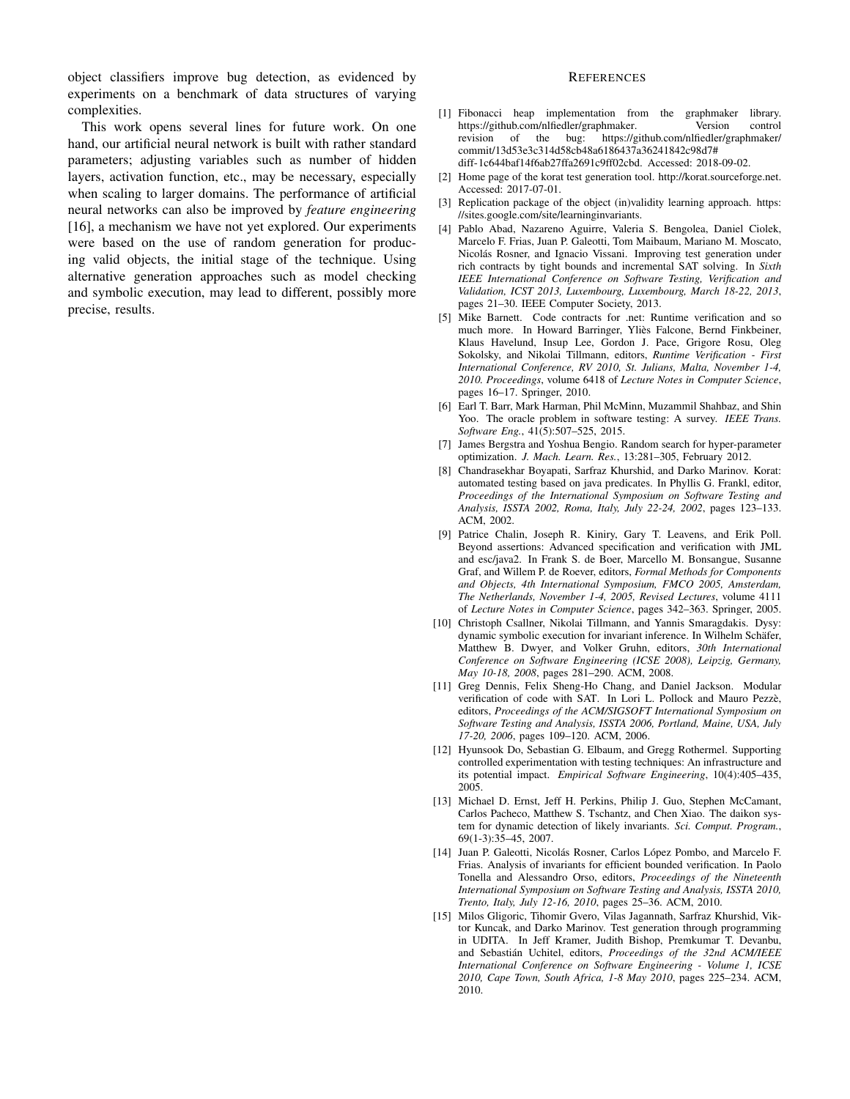object classifiers improve bug detection, as evidenced by experiments on a benchmark of data structures of varying complexities.

This work opens several lines for future work. On one hand, our artificial neural network is built with rather standard parameters; adjusting variables such as number of hidden layers, activation function, etc., may be necessary, especially when scaling to larger domains. The performance of artificial neural networks can also be improved by *feature engineering* [16], a mechanism we have not yet explored. Our experiments were based on the use of random generation for producing valid objects, the initial stage of the technique. Using alternative generation approaches such as model checking and symbolic execution, may lead to different, possibly more precise, results.

## **REFERENCES**

- [1] Fibonacci heap implementation from the graphmaker library. https://github.com/nlfiedler/graphmaker. Version control revision of the bug: https://github.com/nlfiedler/graphmaker/ commit/13d53e3c314d58cb48a6186437a36241842c98d7# diff-1c644baf14f6ab27ffa2691c9ff02cbd. Accessed: 2018-09-02.
- [2] Home page of the korat test generation tool. http://korat.sourceforge.net. Accessed: 2017-07-01.
- [3] Replication package of the object (in)validity learning approach. https: //sites.google.com/site/learninginvariants.
- [4] Pablo Abad, Nazareno Aguirre, Valeria S. Bengolea, Daniel Ciolek, Marcelo F. Frias, Juan P. Galeotti, Tom Maibaum, Mariano M. Moscato, Nicolás Rosner, and Ignacio Vissani. Improving test generation under rich contracts by tight bounds and incremental SAT solving. In *Sixth IEEE International Conference on Software Testing, Verification and Validation, ICST 2013, Luxembourg, Luxembourg, March 18-22, 2013*, pages 21–30. IEEE Computer Society, 2013.
- [5] Mike Barnett. Code contracts for .net: Runtime verification and so much more. In Howard Barringer, Ylies Falcone, Bernd Finkbeiner, ` Klaus Havelund, Insup Lee, Gordon J. Pace, Grigore Rosu, Oleg Sokolsky, and Nikolai Tillmann, editors, *Runtime Verification - First International Conference, RV 2010, St. Julians, Malta, November 1-4, 2010. Proceedings*, volume 6418 of *Lecture Notes in Computer Science*, pages 16–17. Springer, 2010.
- [6] Earl T. Barr, Mark Harman, Phil McMinn, Muzammil Shahbaz, and Shin Yoo. The oracle problem in software testing: A survey. *IEEE Trans. Software Eng.*, 41(5):507–525, 2015.
- [7] James Bergstra and Yoshua Bengio. Random search for hyper-parameter optimization. *J. Mach. Learn. Res.*, 13:281–305, February 2012.
- [8] Chandrasekhar Boyapati, Sarfraz Khurshid, and Darko Marinov. Korat: automated testing based on java predicates. In Phyllis G. Frankl, editor, *Proceedings of the International Symposium on Software Testing and Analysis, ISSTA 2002, Roma, Italy, July 22-24, 2002*, pages 123–133. ACM, 2002.
- [9] Patrice Chalin, Joseph R. Kiniry, Gary T. Leavens, and Erik Poll. Beyond assertions: Advanced specification and verification with JML and esc/java2. In Frank S. de Boer, Marcello M. Bonsangue, Susanne Graf, and Willem P. de Roever, editors, *Formal Methods for Components and Objects, 4th International Symposium, FMCO 2005, Amsterdam, The Netherlands, November 1-4, 2005, Revised Lectures*, volume 4111 of *Lecture Notes in Computer Science*, pages 342–363. Springer, 2005.
- [10] Christoph Csallner, Nikolai Tillmann, and Yannis Smaragdakis. Dysy: dynamic symbolic execution for invariant inference. In Wilhelm Schafer, ¨ Matthew B. Dwyer, and Volker Gruhn, editors, *30th International Conference on Software Engineering (ICSE 2008), Leipzig, Germany, May 10-18, 2008*, pages 281–290. ACM, 2008.
- [11] Greg Dennis, Felix Sheng-Ho Chang, and Daniel Jackson. Modular verification of code with SAT. In Lori L. Pollock and Mauro Pezzè, editors, *Proceedings of the ACM/SIGSOFT International Symposium on Software Testing and Analysis, ISSTA 2006, Portland, Maine, USA, July 17-20, 2006*, pages 109–120. ACM, 2006.
- [12] Hyunsook Do, Sebastian G. Elbaum, and Gregg Rothermel. Supporting controlled experimentation with testing techniques: An infrastructure and its potential impact. *Empirical Software Engineering*, 10(4):405–435, 2005.
- [13] Michael D. Ernst, Jeff H. Perkins, Philip J. Guo, Stephen McCamant, Carlos Pacheco, Matthew S. Tschantz, and Chen Xiao. The daikon system for dynamic detection of likely invariants. *Sci. Comput. Program.*, 69(1-3):35–45, 2007.
- [14] Juan P. Galeotti, Nicolás Rosner, Carlos López Pombo, and Marcelo F. Frias. Analysis of invariants for efficient bounded verification. In Paolo Tonella and Alessandro Orso, editors, *Proceedings of the Nineteenth International Symposium on Software Testing and Analysis, ISSTA 2010, Trento, Italy, July 12-16, 2010*, pages 25–36. ACM, 2010.
- [15] Milos Gligoric, Tihomir Gvero, Vilas Jagannath, Sarfraz Khurshid, Viktor Kuncak, and Darko Marinov. Test generation through programming in UDITA. In Jeff Kramer, Judith Bishop, Premkumar T. Devanbu, and Sebastián Uchitel, editors, Proceedings of the 32nd ACM/IEEE *International Conference on Software Engineering - Volume 1, ICSE 2010, Cape Town, South Africa, 1-8 May 2010*, pages 225–234. ACM, 2010.